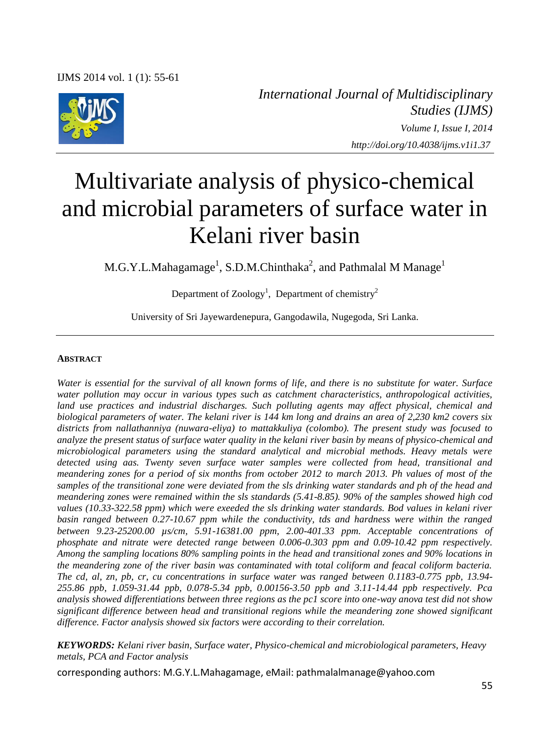IJMS 2014 vol. 1 (1): 55-61



*International Journal of Multidisciplinary Studies (IJMS) Volume I, Issue I, 2014 http://doi.org/10.4038/ijms.v1i1.37*

# Multivariate analysis of physico-chemical and microbial parameters of surface water in Kelani river basin

M.G.Y.L.Mahagamage<sup>1</sup>, S.D.M.Chinthaka<sup>2</sup>, and Pathmalal M Manage<sup>1</sup>

Department of Zoology<sup>1</sup>, Department of chemistry<sup>2</sup>

University of Sri Jayewardenepura, Gangodawila, Nugegoda, Sri Lanka.

#### **ABSTRACT**

*Water is essential for the survival of all known forms of life, and there is no substitute for water. Surface water pollution may occur in various types such as catchment characteristics, anthropological activities, land use practices and industrial discharges. Such polluting agents may affect physical, chemical and biological parameters of water. The kelani river is 144 km long and drains an area of 2,230 km2 covers six districts from nallathanniya (nuwara-eliya) to mattakkuliya (colombo). The present study was focused to analyze the present status of surface water quality in the kelani river basin by means of physico-chemical and microbiological parameters using the standard analytical and microbial methods. Heavy metals were detected using aas. Twenty seven surface water samples were collected from head, transitional and meandering zones for a period of six months from october 2012 to march 2013. Ph values of most of the samples of the transitional zone were deviated from the sls drinking water standards and ph of the head and meandering zones were remained within the sls standards (5.41-8.85). 90% of the samples showed high cod values (10.33-322.58 ppm) which were exeeded the sls drinking water standards. Bod values in kelani river basin ranged between 0.27-10.67 ppm while the conductivity, tds and hardness were within the ranged between 9.23-25200.00 µs/cm, 5.91-16381.00 ppm, 2.00-401.33 ppm. Acceptable concentrations of phosphate and nitrate were detected range between 0.006-0.303 ppm and 0.09-10.42 ppm respectively. Among the sampling locations 80% sampling points in the head and transitional zones and 90% locations in the meandering zone of the river basin was contaminated with total coliform and feacal coliform bacteria. The cd, al, zn, pb, cr, cu concentrations in surface water was ranged between 0.1183-0.775 ppb, 13.94- 255.86 ppb, 1.059-31.44 ppb, 0.078-5.34 ppb, 0.00156-3.50 ppb and 3.11-14.44 ppb respectively. Pca analysis showed differentiations between three regions as the pc1 score into one-way anova test did not show significant difference between head and transitional regions while the meandering zone showed significant difference. Factor analysis showed six factors were according to their correlation.*

*KEYWORDS: Kelani river basin, Surface water, Physico-chemical and microbiological parameters, Heavy metals, PCA and Factor analysis* 

corresponding authors: M.G.Y.L.Mahagamage, eMail: pathmalalmanage@yahoo.com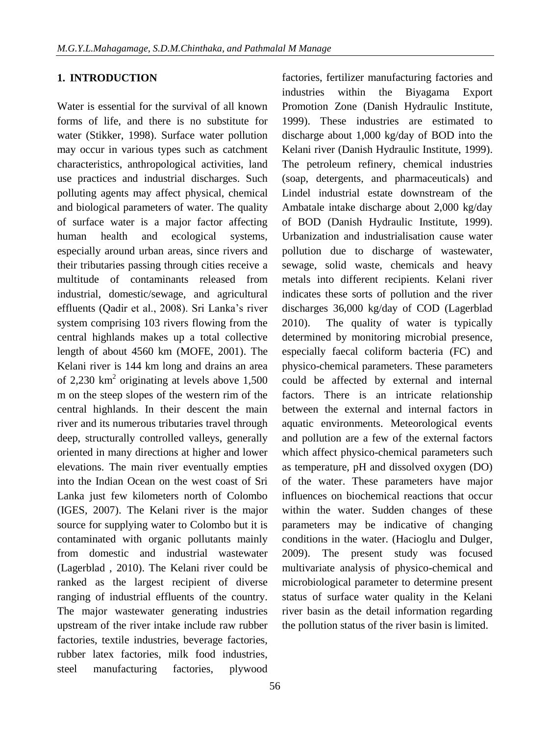## **1. INTRODUCTION**

Water is essential for the survival of all known forms of life, and there is no substitute for water (Stikker, 1998). Surface water pollution may occur in various types such as catchment characteristics, anthropological activities, land use practices and industrial discharges. Such polluting agents may affect physical, chemical and biological parameters of water. The quality of surface water is a major factor affecting human health and ecological systems, especially around urban areas, since rivers and their tributaries passing through cities receive a multitude of contaminants released from industrial, domestic/sewage, and agricultural effluents (Qadir et al., 2008). Sri Lanka"s river system comprising 103 rivers flowing from the central highlands makes up a total collective length of about 4560 km (MOFE, 2001). The Kelani river is 144 km long and drains an area of 2,230  $\text{km}^2$  originating at levels above 1,500 m on the steep slopes of the western rim of the central highlands. In their descent the main river and its numerous tributaries travel through deep, structurally controlled valleys, generally oriented in many directions at higher and lower elevations. The main river eventually empties into the Indian Ocean on the west coast of Sri Lanka just few kilometers north of Colombo (IGES, 2007). The Kelani river is the major source for supplying water to Colombo but it is contaminated with organic pollutants mainly from domestic and industrial wastewater (Lagerblad , 2010). The Kelani river could be ranked as the largest recipient of diverse ranging of industrial effluents of the country. The major wastewater generating industries upstream of the river intake include raw rubber factories, textile industries, beverage factories, rubber latex factories, milk food industries, steel manufacturing factories, plywood

Kelani river (Danish Hydraulic Institute, 1999). The petroleum refinery, chemical industries (soap, detergents, and pharmaceuticals) and Lindel industrial estate downstream of the Ambatale intake discharge about 2,000 kg/day of BOD (Danish Hydraulic Institute, 1999). Urbanization and industrialisation cause water pollution due to discharge of wastewater, sewage, solid waste, chemicals and heavy metals into different recipients. Kelani river indicates these sorts of pollution and the river discharges 36,000 kg/day of COD (Lagerblad 2010). The quality of water is typically determined by monitoring microbial presence, especially faecal coliform bacteria (FC) and physico-chemical parameters. These parameters could be affected by external and internal factors. There is an intricate relationship between the external and internal factors in aquatic environments. Meteorological events and pollution are a few of the external factors which affect physico-chemical parameters such as temperature, pH and dissolved oxygen (DO) of the water. These parameters have major influences on biochemical reactions that occur within the water. Sudden changes of these parameters may be indicative of changing conditions in the water. (Hacioglu and Dulger, 2009). The present study was focused multivariate analysis of physico-chemical and microbiological parameter to determine present status of surface water quality in the Kelani river basin as the detail information regarding the pollution status of the river basin is limited.

factories, fertilizer manufacturing factories and industries within the Biyagama Export Promotion Zone (Danish Hydraulic Institute, 1999). These industries are estimated to discharge about 1,000 kg/day of BOD into the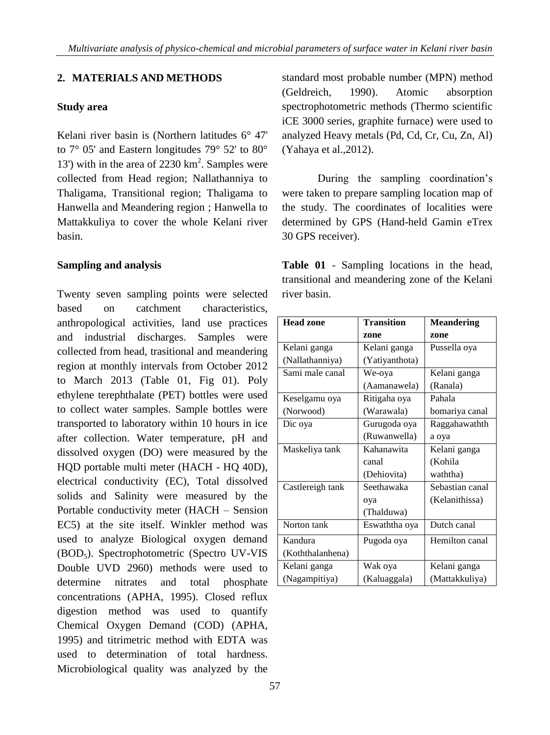# **2. MATERIALS AND METHODS**

# **Study area**

Kelani river basin is (Northern latitudes 6° 47' to 7° 05' and Eastern longitudes 79° 52' to 80° 13') with in the area of 2230 km<sup>2</sup>. Samples were collected from Head region; Nallathanniya to Thaligama, Transitional region; Thaligama to Hanwella and Meandering region ; Hanwella to Mattakkuliya to cover the whole Kelani river basin.

## **Sampling and analysis**

Twenty seven sampling points were selected based on catchment characteristics, anthropological activities, land use practices and industrial discharges. Samples were collected from head, trasitional and meandering region at monthly intervals from October 2012 to March 2013 (Table 01, Fig 01). Poly ethylene terephthalate (PET) bottles were used to collect water samples. Sample bottles were transported to laboratory within 10 hours in ice after collection. Water temperature, pH and dissolved oxygen (DO) were measured by the HQD portable multi meter (HACH - HQ 40D), electrical conductivity (EC), Total dissolved solids and Salinity were measured by the Portable conductivity meter (HACH – Sension EC5) at the site itself. Winkler method was used to analyze Biological oxygen demand (BOD5). Spectrophotometric (Spectro UV-VIS Double UVD 2960) methods were used to determine nitrates and total phosphate concentrations (APHA, 1995). Closed reflux digestion method was used to quantify Chemical Oxygen Demand (COD) (APHA, 1995) and titrimetric method with EDTA was used to determination of total hardness. Microbiological quality was analyzed by the

standard most probable number (MPN) method (Geldreich, 1990). Atomic absorption spectrophotometric methods (Thermo scientific iCE 3000 series, graphite furnace) were used to analyzed Heavy metals (Pd, Cd, Cr, Cu, Zn, Al) (Yahaya et al.,2012).

During the sampling coordination's were taken to prepare sampling location map of the study. The coordinates of localities were determined by GPS (Hand-held Gamin eTrex 30 GPS receiver).

**Table 01** - Sampling locations in the head, transitional and meandering zone of the Kelani river basin.

| <b>Head zone</b> | <b>Transition</b> | <b>Meandering</b> |  |  |
|------------------|-------------------|-------------------|--|--|
|                  | zone              | zone              |  |  |
| Kelani ganga     | Kelani ganga      | Pussella oya      |  |  |
| (Nallathanniya)  | (Yatiyanthota)    |                   |  |  |
| Sami male canal  | We-oya            | Kelani ganga      |  |  |
|                  | (Aamanawela)      | (Ranala)          |  |  |
| Keselgamu oya    | Ritigaha oya      | Pahala            |  |  |
| (Norwood)        | (Warawala)        | bomariya canal    |  |  |
| Dic oya          | Gurugoda oya      | Raggahawathth     |  |  |
|                  | (Ruwanwella)      | a oya             |  |  |
| Maskeliya tank   | Kahanawita        | Kelani ganga      |  |  |
|                  | canal             | (Kohila           |  |  |
|                  | (Dehiovita)       | waththa)          |  |  |
| Castlereigh tank | Seethawaka        | Sebastian canal   |  |  |
|                  | oya               | (Kelanithissa)    |  |  |
|                  | (Thalduwa)        |                   |  |  |
| Norton tank      | Eswaththa oya     | Dutch canal       |  |  |
| Kandura          | Pugoda oya        | Hemilton canal    |  |  |
| (Koththalanhena) |                   |                   |  |  |
| Kelani ganga     | Wak oya           | Kelani ganga      |  |  |
| (Nagampitiya)    | (Kaluaggala)      | (Mattakkuliya)    |  |  |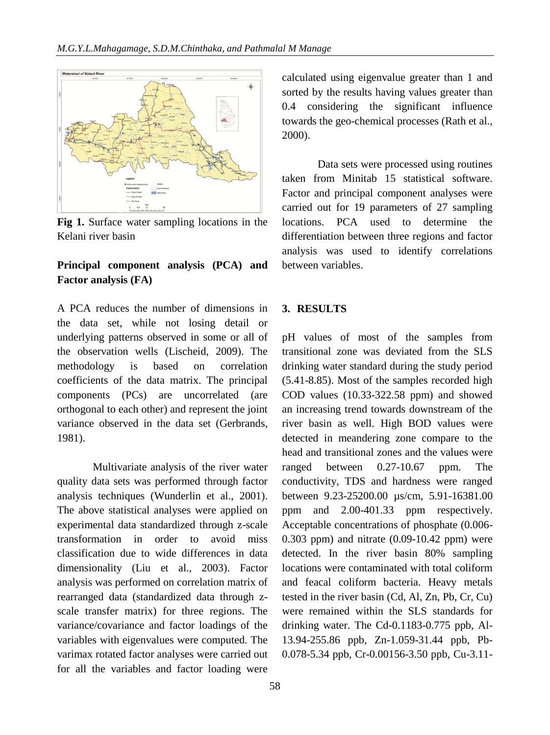

**Fig 1.** Surface water sampling locations in the Kelani river basin

# **Principal component analysis (PCA) and Factor analysis (FA)**

A PCA reduces the number of dimensions in the data set, while not losing detail or underlying patterns observed in some or all of the observation wells (Lischeid, 2009). The methodology is based on correlation coefficients of the data matrix. The principal components (PCs) are uncorrelated (are orthogonal to each other) and represent the joint variance observed in the data set (Gerbrands, 1981).

Multivariate analysis of the river water quality data sets was performed through factor analysis techniques (Wunderlin et al., 2001). The above statistical analyses were applied on experimental data standardized through z-scale transformation in order to avoid miss classification due to wide differences in data dimensionality (Liu et al., 2003). Factor analysis was performed on correlation matrix of rearranged data (standardized data through zscale transfer matrix) for three regions. The variance/covariance and factor loadings of the variables with eigenvalues were computed. The varimax rotated factor analyses were carried out for all the variables and factor loading were

calculated using eigenvalue greater than 1 and sorted by the results having values greater than 0.4 considering the significant influence towards the geo-chemical processes (Rath et al., 2000).

Data sets were processed using routines taken from Minitab 15 statistical software. Factor and principal component analyses were carried out for 19 parameters of 27 sampling locations. PCA used to determine the differentiation between three regions and factor analysis was used to identify correlations between variables.

## **3. RESULTS**

pH values of most of the samples from transitional zone was deviated from the SLS drinking water standard during the study period (5.41-8.85). Most of the samples recorded high COD values (10.33-322.58 ppm) and showed an increasing trend towards downstream of the river basin as well. High BOD values were detected in meandering zone compare to the head and transitional zones and the values were ranged between 0.27-10.67 ppm. The conductivity, TDS and hardness were ranged between 9.23-25200.00 µs/cm, 5.91-16381.00 ppm and 2.00-401.33 ppm respectively. Acceptable concentrations of phosphate (0.006- 0.303 ppm) and nitrate (0.09-10.42 ppm) were detected. In the river basin 80% sampling locations were contaminated with total coliform and feacal coliform bacteria. Heavy metals tested in the river basin (Cd, Al, Zn, Pb, Cr, Cu) were remained within the SLS standards for drinking water. The Cd-0.1183-0.775 ppb, Al-13.94-255.86 ppb, Zn-1.059-31.44 ppb, Pb-0.078-5.34 ppb, Cr-0.00156-3.50 ppb, Cu-3.11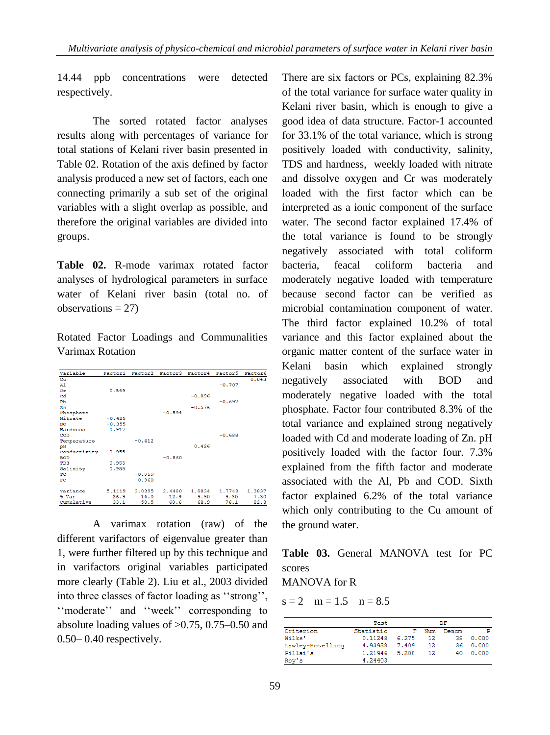14.44 ppb concentrations were detected respectively.

The sorted rotated factor analyses results along with percentages of variance for total stations of Kelani river basin presented in Table 02. Rotation of the axis defined by factor analysis produced a new set of factors, each one connecting primarily a sub set of the original variables with a slight overlap as possible, and therefore the original variables are divided into groups.

**Table 02.** R-mode varimax rotated factor analyses of hydrological parameters in surface water of Kelani river basin (total no. of observations  $= 27$ )

Rotated Factor Loadings and Communalities Varimax Rotation

| Variable       | Factor1  | Factor2  | Factor3  | Factor4  | Factor5  | Factor6 |
|----------------|----------|----------|----------|----------|----------|---------|
| Cu             |          |          |          |          |          | 0.843   |
| A <sub>1</sub> |          |          |          |          | $-0.707$ |         |
| Cr             | 0.549    |          |          |          |          |         |
| Cd             |          |          |          | $-0.896$ |          |         |
| Pb             |          |          |          |          | $-0.697$ |         |
| 2n             |          |          |          | $-0.576$ |          |         |
| Phosphate      |          |          | $-0.594$ |          |          |         |
| Nitrate        | $-0.425$ |          |          |          |          |         |
| DO             | $-0.355$ |          |          |          |          |         |
| Hardness       | 0.917    |          |          |          |          |         |
| COD            |          |          |          |          | $-0.688$ |         |
| Temperature    |          | $-0.612$ |          |          |          |         |
| pH             |          |          |          | 0.426    |          |         |
| Conductivity   | 0.955    |          |          |          |          |         |
| <b>BOD</b>     |          |          | $-0.860$ |          |          |         |
| TDS            | 0.955    |          |          |          |          |         |
| Salinity       | 0.955    |          |          |          |          |         |
| <b>TPC</b>     |          | $-0.959$ |          |          |          |         |
| FC             |          | $-0.960$ |          |          |          |         |
| Variance       | 5.1119   | 3.0395   | 2.4480   | 1,8834   | 1,7749   | 1,3837  |
| % Var          | 26.9     | 16.0     | 12.9     | 9.90     | 9.30     | 7.30    |
| Cumulative     | 33.1     | 50.5     | 60.6     | 68.9     | 76.1     | 82.3    |

A varimax rotation (raw) of the different varifactors of eigenvalue greater than 1, were further filtered up by this technique and in varifactors original variables participated more clearly (Table 2). Liu et al., 2003 divided into three classes of factor loading as "strong", "moderate" and "week" corresponding to absolute loading values of >0.75, 0.75–0.50 and 0.50– 0.40 respectively.

There are six factors or PCs, explaining 82.3% of the total variance for surface water quality in Kelani river basin, which is enough to give a good idea of data structure. Factor-1 accounted for 33.1% of the total variance, which is strong positively loaded with conductivity, salinity, TDS and hardness, weekly loaded with nitrate and dissolve oxygen and Cr was moderately loaded with the first factor which can be interpreted as a ionic component of the surface water. The second factor explained 17.4% of the total variance is found to be strongly negatively associated with total coliform bacteria, feacal coliform bacteria and moderately negative loaded with temperature because second factor can be verified as microbial contamination component of water. The third factor explained 10.2% of total variance and this factor explained about the organic matter content of the surface water in Kelani basin which explained strongly negatively associated with BOD and moderately negative loaded with the total phosphate. Factor four contributed 8.3% of the total variance and explained strong negatively loaded with Cd and moderate loading of Zn. pH positively loaded with the factor four. 7.3% explained from the fifth factor and moderate associated with the Al, Pb and COD. Sixth factor explained 6.2% of the total variance which only contributing to the Cu amount of the ground water.

**Table 03.** General MANOVA test for PC scores

MANOVA for R

 $s = 2$  m = 1.5 n = 8.5

|                  | Test.     | DF    |     |       |       |
|------------------|-----------|-------|-----|-------|-------|
| Criterion        | Statistic | F     | Num | Denom | Р     |
| Wilks'           | 0.11248   | 6.275 | 12  | 38    | 0.000 |
| Lawley-Hotelling | 4.93938   | 7.409 | 12  | 36    | 0.000 |
| Pillai's         | 1.21946   | 5.208 | 12  | 40    | 0.000 |
| Roy's            | 4.24403   |       |     |       |       |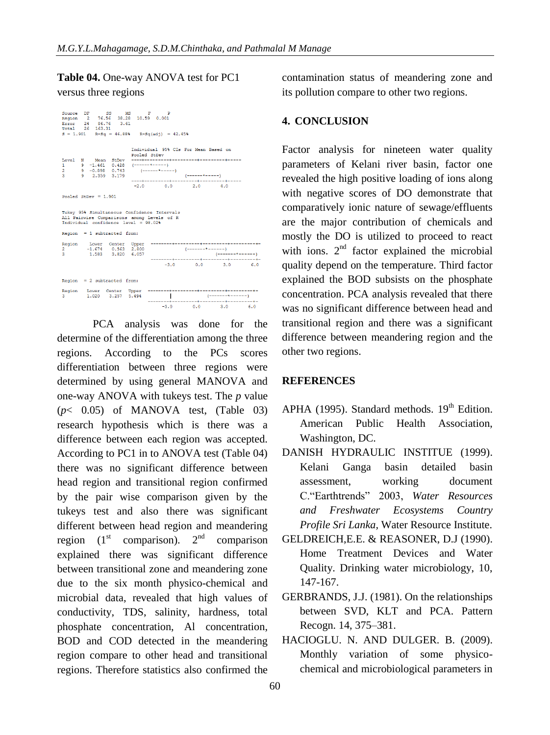## **Table 04.** One-way ANOVA test for PC1

## versus three regions

```
\begin{tabular}{lllllllllll} \texttt{Source} & \texttt{DF} & \texttt{SS} & \texttt{MS} & \texttt{F} & \texttt{P} \\ \texttt{Region} & 2 & 76.56 & 39.28 & 10.59 & 0.001 \\ \texttt{Error} & 24 & 86.76 & 3.61 & & \\ \texttt{Total} & 26 & 163.31 & & & \\ \end{tabular}S = 1.901R-Sq = 46.888 R-Sq(adj) = 42.458Mean StDev<br>-1.461 0.428<br>-0.898 0.743<br>2.359 3.179
        \mathbb{N}Level
                                     ِ آه
                                          \alpha.<br>----+-------
                                       -2.00.02.04.0Pooled StDev = 1.901Tukey 95% Simultaneous Confidence Intervals<br>All Pairwise Comparisons among Levels of R<br>Individual confidence level = 98.02%
Region = 1 subtractionRegion
                                                                  (-1)š
                                                                                   \overline{1}Contract Contract Contract
                                                       -3.00.03.06.0Region = 2 subtracted from:
Region
              Lower<br>1.020Center Upper<br>3.257 5.494
                                                         \blacksquare-3.00.03.06.0
```
PCA analysis was done for the determine of the differentiation among the three regions. According to the PCs scores differentiation between three regions were determined by using general MANOVA and one-way ANOVA with tukeys test. The *p* value  $(p< 0.05)$  of MANOVA test, (Table 03) research hypothesis which is there was a difference between each region was accepted. According to PC1 in to ANOVA test (Table 04) there was no significant difference between head region and transitional region confirmed by the pair wise comparison given by the tukeys test and also there was significant different between head region and meandering region  $(1<sup>st</sup> comparison)$ .  $2<sup>nd</sup> comparison$ explained there was significant difference between transitional zone and meandering zone due to the six month physico-chemical and microbial data, revealed that high values of conductivity, TDS, salinity, hardness, total phosphate concentration, Al concentration, BOD and COD detected in the meandering region compare to other head and transitional regions. Therefore statistics also confirmed the

contamination status of meandering zone and its pollution compare to other two regions.

## **4. CONCLUSION**

Factor analysis for nineteen water quality parameters of Kelani river basin, factor one revealed the high positive loading of ions along with negative scores of DO demonstrate that comparatively ionic nature of sewage/effluents are the major contribution of chemicals and mostly the DO is utilized to proceed to react with ions. 2<sup>nd</sup> factor explained the microbial quality depend on the temperature. Third factor explained the BOD subsists on the phosphate concentration. PCA analysis revealed that there was no significant difference between head and transitional region and there was a significant difference between meandering region and the other two regions.

## **REFERENCES**

- APHA (1995). Standard methods.  $19<sup>th</sup>$  Edition. American Public Health Association, Washington, DC.
- DANISH HYDRAULIC INSTITUE (1999). Kelani Ganga basin detailed basin assessment, working document C."Earthtrends" 2003, *Water Resources and Freshwater Ecosystems Country Profile Sri Lanka,* Water Resource Institute.
- GELDREICH,E.E. & REASONER, D.J (1990). Home Treatment Devices and Water Quality. Drinking water microbiology, 10, 147-167.
- GERBRANDS, J.J. (1981). On the relationships between SVD, KLT and PCA. Pattern Recogn. 14, 375–381.
- HACIOGLU. N. AND DULGER. B. (2009). Monthly variation of some physicochemical and microbiological parameters in